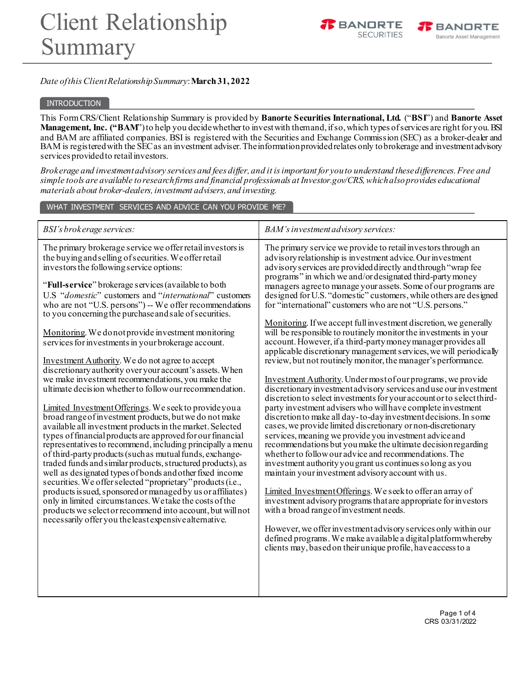



# *Date of this Client Relationship Summary*: **March31, 2022**

### INTRODUCTION

This FormCRS/Client Relationship Summary is provided by **Banorte Securities International, Ltd.** ("**BSI**") and **Banorte Asset Management, Inc. ("BAM**")to help you decidewhetherto investwith themand,ifso,which types ofservices are right for you.BSI and BAM are affiliated companies. BSI is registered with the Securities and Exchange Commission (SEC) as a broker-dealer and BAM is registered with the SEC as an investment adviser. The information provided relates only to brokerage and investment advisory services provided to retail investors.

*Brokerage and investment advisory services and fees differ, and it is important for you to understand these differences. Free and simple tools are available to research firms and financial professionals at Investor.gov/CRS, which also provides educational materials about broker-dealers, investment advisers, and investing.*

WHAT INVESTMENT SERVICES AND ADVICE CAN YOU PROVIDE ME?

| BSI's brokerage services:                                                                                                                                                                                                                                                                                                                                                                                                                                                                                                                                                                                                                                                                                                                                                                                                                                                                                                                                                                                                                                                                                                                                                                                                                                                                                                                                                                                                                                                                                                                                              | BAM's investment advisory services:                                                                                                                                                                                                                                                                                                                                                                                                                                                                                                                                                                                                                                                                                                                                                                                                                                                                                                                                                                                                                                                                                                                                                                                                                                                                                                                                                                                                                                                                                                                                                                                                                                                                                                                                                                                                                                                                                 |
|------------------------------------------------------------------------------------------------------------------------------------------------------------------------------------------------------------------------------------------------------------------------------------------------------------------------------------------------------------------------------------------------------------------------------------------------------------------------------------------------------------------------------------------------------------------------------------------------------------------------------------------------------------------------------------------------------------------------------------------------------------------------------------------------------------------------------------------------------------------------------------------------------------------------------------------------------------------------------------------------------------------------------------------------------------------------------------------------------------------------------------------------------------------------------------------------------------------------------------------------------------------------------------------------------------------------------------------------------------------------------------------------------------------------------------------------------------------------------------------------------------------------------------------------------------------------|---------------------------------------------------------------------------------------------------------------------------------------------------------------------------------------------------------------------------------------------------------------------------------------------------------------------------------------------------------------------------------------------------------------------------------------------------------------------------------------------------------------------------------------------------------------------------------------------------------------------------------------------------------------------------------------------------------------------------------------------------------------------------------------------------------------------------------------------------------------------------------------------------------------------------------------------------------------------------------------------------------------------------------------------------------------------------------------------------------------------------------------------------------------------------------------------------------------------------------------------------------------------------------------------------------------------------------------------------------------------------------------------------------------------------------------------------------------------------------------------------------------------------------------------------------------------------------------------------------------------------------------------------------------------------------------------------------------------------------------------------------------------------------------------------------------------------------------------------------------------------------------------------------------------|
| The primary brokerage service we offer retail investors is<br>the buying and selling of securities. We offer retail<br>investors the following service options:<br>"Full-service" brokerage services (available to both<br>U.S "domestic" customers and "international" customers<br>who are not "U.S. persons") -- We offer recommendations<br>to you concerning the purchase and sale of securities.<br>Monitoring. We do not provide investment monitoring<br>services for investments in your brokerage account.<br>Investment Authority. We do not agree to accept<br>discretionary authority over your account's assets. When<br>we make investment recommendations, you make the<br>ultimate decision whether to follow our recommendation.<br>Limited Investment Offerings. We seek to provide you a<br>broad range of investment products, but we do not make<br>available all investment products in the market. Selected<br>types of financial products are approved for our financial<br>representatives to recommend, including principally a menu<br>of third-party products (such as mutual funds, exchange-<br>traded funds and similar products, structured products), as<br>well as designated types of bonds and other fixed income<br>securities. We offer selected "proprietary" products (i.e.,<br>products issued, sponsored or managed by us or affiliates)<br>only in limited circumstances. We take the costs of the<br>products we select or recommend into account, but will not<br>necessarily offer you the least expensive alternative. | The primary service we provide to retail investors through an<br>advisory relationship is investment advice. Our investment<br>advisory services are provided directly and through "wrap fee<br>programs" in which we and/or designated third-party money<br>managers agreeto manage your assets. Some of our programs are<br>designed for U.S. "domestic" customers, while others are designed<br>for "international" customers who are not "U.S. persons."<br>Monitoring. If we accept full investment discretion, we generally<br>will be responsible to routinely monitor the investments in your<br>account. However, if a third-party money manager provides all<br>applicable discretionary management services, we will periodically<br>review, but not routinely monitor, the manager's performance.<br>Investment Authority. Under most of our programs, we provide<br>discretionary investment advisory services and use our investment<br>discretion to select investments for your account or to select third-<br>party investment advisers who will have complete investment<br>discretion to make all day-to-day investment decisions. In some<br>cases, we provide limited discretionary or non-discretionary<br>services, meaning we provide you investment advice and<br>recommendations but you make the ultimate decision regarding<br>whether to follow our advice and recommendations. The<br>investment authority you grant us continues so long as you<br>maintain your investment advisory account with us.<br>Limited InvestmentOfferings. We seek to offer an array of<br>investment advisory programs that are appropriate for investors<br>with a broad range of investment needs.<br>However, we offer investment advisory services only within our<br>defined programs. We make available a digital platform whereby<br>clients may, based on their unique profile, have access to a |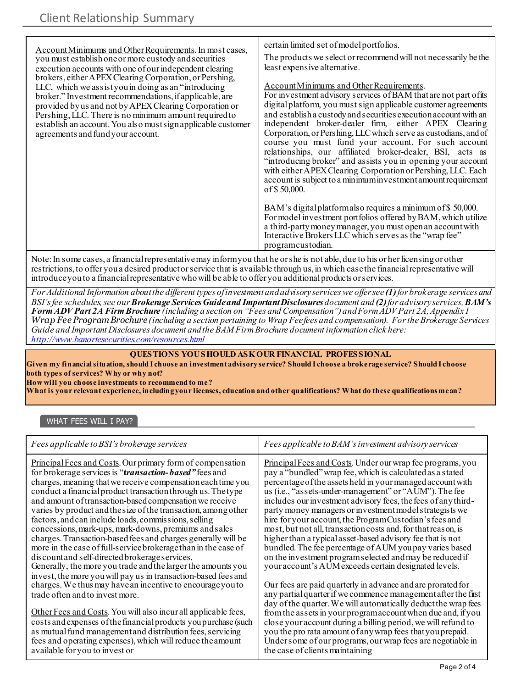| Account Minimums and Other Requirements. In most cases,<br>you must establish one or more custody and securities<br>execution accounts with one of our independent clearing<br>brokers, either APEX Clearing Corporation, or Pershing,<br>LLC, which we assist you in doing as an "introducing"<br>broker." Investment recommendations, if applicable, are<br>provided by us and not by APEX Clearing Corporation or<br>Pershing, LLC. There is no minimum amount required to<br>establish an account. You also must sign applicable customer<br>agreements and fund your account. | certain limited set of model portfolios.<br>The products we select or recommend will not necessarily be the<br>least expensive alternative.<br>Account Minimums and Other Requirements.<br>For investment advisory services of BAM that are not part of its<br>digital platform, you must sign applicable customer agreements<br>and establish a custody and securities execution account with an<br>independent broker-dealer firm, either APEX Clearing<br>Corporation, or Pershing, LLC which serve as custodians, and of<br>course you must fund your account. For such account<br>relationships, our affiliated broker-dealer, BSI, acts as<br>"introducing broker" and assists you in opening your account<br>with either APEX Clearing Corporation or Pershing, LLC. Each<br>account is subject to a minimum investment amount requirement<br>of \$50,000. |
|------------------------------------------------------------------------------------------------------------------------------------------------------------------------------------------------------------------------------------------------------------------------------------------------------------------------------------------------------------------------------------------------------------------------------------------------------------------------------------------------------------------------------------------------------------------------------------|-------------------------------------------------------------------------------------------------------------------------------------------------------------------------------------------------------------------------------------------------------------------------------------------------------------------------------------------------------------------------------------------------------------------------------------------------------------------------------------------------------------------------------------------------------------------------------------------------------------------------------------------------------------------------------------------------------------------------------------------------------------------------------------------------------------------------------------------------------------------|
|                                                                                                                                                                                                                                                                                                                                                                                                                                                                                                                                                                                    | BAM's digital platformals o requires a minimum of \$50,000.<br>For model investment portfolios offered by BAM, which utilize<br>a third-party money manager, you must open an account with<br>Interactive Brokers LLC which serves as the "wrap fee"<br>programcustodian.                                                                                                                                                                                                                                                                                                                                                                                                                                                                                                                                                                                         |

Note: In some cases, a financial representative may inform you that he or she is not able, due to his or her licensing or other restrictions, to offer you a desired product or service that is available through us, in which case the financial representative will introduce you to a financial representative who will be able to offer you additional products or services.

*For Additional Information about the different types of investment and advisory services we offer see (1)for brokerage services and BSI's fee schedules, see our Brokerage Services Guide and Important Disclosures document and (2)for advisory services, BAM's Form ADV Part 2A Firm Brochure (including a section on "Fees and Compensation") and Form ADV Part 2A, Appendix 1 Wrap Fee Program Brochure (including a section pertaining to Wrap Fee fees and compensation). For the Brokerage Services Guide and Important Disclosures document and the BAM Firm Brochure document information click here: <http://www.banortesecurities.com/resources.html>*

# **QUESTIONS YOU SHOULD ASK OUR FINANCIAL PROFESSIONAL**

**Given my financial situation, should I choose an investment advisory service? Should I choose a brokerage service? Should I choose both types of services? Why or why not?**

**How will you choose investments to recommend to me?**

**What is your relevant experience, including your licenses, education and other qualifications? What do these qualifications mean?**

# WHAT FEES WILL I PAY?

| Fees applicable to BSI's brokerage services                                                                                                                                                                                                                                                                                                                                                                                                                                                                                                                                                                                                                                                                                                                                                                                     | Fees applicable to BAM's investment advisory services                                                                                                                                                                                                                                                                                                                                                                                                                                                                                                                                                                                                                                                                                                        |
|---------------------------------------------------------------------------------------------------------------------------------------------------------------------------------------------------------------------------------------------------------------------------------------------------------------------------------------------------------------------------------------------------------------------------------------------------------------------------------------------------------------------------------------------------------------------------------------------------------------------------------------------------------------------------------------------------------------------------------------------------------------------------------------------------------------------------------|--------------------------------------------------------------------------------------------------------------------------------------------------------------------------------------------------------------------------------------------------------------------------------------------------------------------------------------------------------------------------------------------------------------------------------------------------------------------------------------------------------------------------------------------------------------------------------------------------------------------------------------------------------------------------------------------------------------------------------------------------------------|
| <b>Principal Fees and Costs. Our primary form of compensation</b><br>for brokerage services is "transaction-based" fees and<br>charges, meaning that we receive compensation each time you<br>conduct a financial product transaction through us. The type<br>and amount of transaction-based compensation we receive<br>varies by product and the size of the transaction, among other<br>factors, and can include loads, commissions, selling<br>concessions, mark-ups, mark-downs, premiums and sales<br>charges. Transaction-based fees and charges generally will be<br>more in the case of full-service brokerage than in the case of<br>discount and self-directed brokerage services.<br>Generally, the more you trade and the larger the amounts you<br>invest, the more you will pay us in transaction-based fees and | <b>Principal Fees and Costs.</b> Under our wrap fee programs, you<br>pay a "bundled" wrap fee, which is calculated as a stated<br>percentage of the assets held in your managed account with<br>us (i.e., "assets-under-management" or "AUM"). The fee<br>includes our investment advisory fees, the fees of any third-<br>party money managers or investment model strategists we<br>hire for your account, the Program Custodian's fees and<br>most, but not all, transaction costs and, for that reason, is<br>higher than a typical asset-based advisory fee that is not<br>bundled. The fee percentage of AUM you pay varies based<br>on the investment programs elected and may be reduced if<br>your account's AUM exceeds certain designated levels. |
| charges. We thus may have an incentive to encourage you to<br>trade often and to invest more.                                                                                                                                                                                                                                                                                                                                                                                                                                                                                                                                                                                                                                                                                                                                   | Our fees are paid quarterly in advance and are prorated for<br>any partial quarter if we commence management after the first<br>day of the quarter. We will automatically deduct the wrap fees                                                                                                                                                                                                                                                                                                                                                                                                                                                                                                                                                               |
| Other Fees and Costs. You will also incur all applicable fees,<br>costs and expenses of the financial products you purchase (such<br>as mutual fund management and distribution fees, servicing<br>fees and operating expenses), which will reduce the amount<br>available for you to invest or                                                                                                                                                                                                                                                                                                                                                                                                                                                                                                                                 | from the assets in your program account when due and, if you<br>close your account during a billing period, we will refund to<br>you the pro rata amount of any wrap fees that you prepaid.<br>Under some of our programs, our wrap fees are negotiable in<br>the case of clients maintaining                                                                                                                                                                                                                                                                                                                                                                                                                                                                |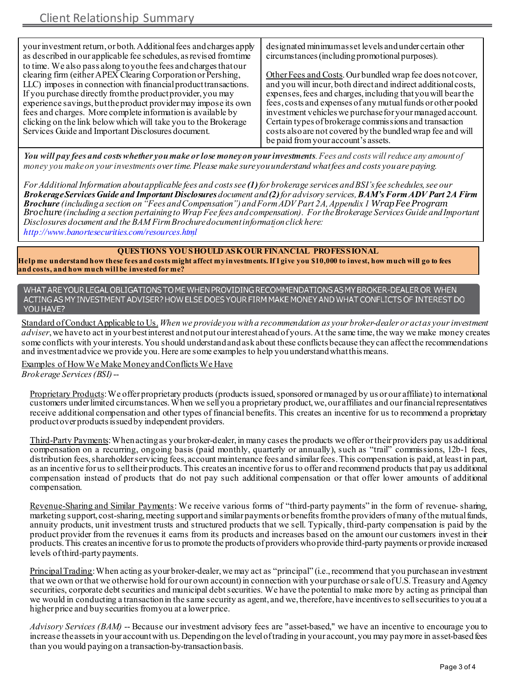| your investment return, or both. Additional fees and charges apply | designated minimum asset levels and under certain other        |
|--------------------------------------------------------------------|----------------------------------------------------------------|
| as described in our applicable fee schedules, as revised from time | circumstances (including promotional purposes).                |
| to time. We also pass along to you the fees and charges that our   |                                                                |
| clearing firm (either APEX Clearing Corporation or Pershing,       | Other Fees and Costs. Our bundled wrap fee does not cover,     |
| LLC) imposes in connection with financial product transactions.    | and you will incur, both direct and indirect additional costs, |
| If you purchase directly from the product provider, you may        | expenses, fees and charges, including that you will bear the   |
| experience savings, but the product provider may impose its own    | fees, costs and expenses of any mutual funds or other pooled   |
| fees and charges. More complete information is available by        | investment vehicles we purchase for your managed account.      |
| clicking on the link below which will take you to the Brokerage    | Certain types of brokerage commissions and transaction         |
| Services Guide and Important Disclosures document.                 | costs also are not covered by the bundled wrap fee and will    |
|                                                                    | be paid from your account's assets.                            |

*You will pay fees and costs whether you make or lose money on your investments. Fees and costs will reduce any amount of money you make on your investments over time. Please make sure you understand what fees and costs you are paying.*

*For Additional Information about applicable fees and costs see (1)for brokerage services and BSI's fee schedules, see our Brokerage Services Guide and Important Disclosures document and (2)for advisory services, BAM's Form ADV Part 2A Firm Brochure (including a section on "Fees and Compensation") and Form ADV Part 2A, Appendix 1 Wrap Fee Program Brochure (including a section pertaining to Wrap Fee fees and compensation). For the Brokerage Services Guide and Important Disclosures document and the BAM Firm Brochure document information click here: <http://www.banortesecurities.com/resources.html>*

### **QUESTIONS YOU SHOULD ASK OUR FINANCIAL PROFESSIONAL**

**Help me understand how these fees and costs might affect my investments. If I give you \$10,000 to invest, how much will go to fees and costs, and how much will be invested for me?**

WHAT ARE YOUR LEGAL OBLIGATIONS TO ME WHEN PROVIDING RECOMMENDATIONS AS MY BROKER-DEALER OR WHEN ACTING AS MY INVESTMENT ADVISER? HOW ELSE DOES YOUR FIRM MAKE MONEY AND WHAT CONFLICTS OF INTEREST DO YOU HAVE?

Standard of Conduct Applicable to Us.*When we provide you with a recommendation as your broker-dealer or act as your investment adviser*, we have to act in your best interest and not put our interest ahead of yours. At the same time, the way we make money creates some conflicts with your interests. You should understand and ask about these conflicts because theycan affect the recommendations and investment advice we provide you. Here are some examples to help you understand what this means.

Examples of How We Make Money and Conflicts We Have *Brokerage Services (BSI)* --

Proprietary Products: We offer proprietary products (products issued, sponsored or managed by us or our affiliate) to international customers under limited circumstances. When we sell you a proprietary product, we, our affiliates and our financial representatives receive additional compensation and other types of financial benefits. This creates an incentive for us to recommend a proprietary product over products issued by independent providers.

Third-Party Payments: When acting as your broker-dealer, in many cases the products we offer or their providers pay us additional compensation on a recurring, ongoing basis (paid monthly, quarterly or annually), such as "trail" commissions, 12b-1 fees, distribution fees, shareholder servicing fees, account maintenance fees and similar fees. This compensation is paid, at least in part, as an incentive for us to sell their products. This creates an incentive for us to offer and recommend products that pay us additional compensation instead of products that do not pay such additional compensation or that offer lower amounts of additional compensation.

Revenue-Sharing and Similar Payments: We receive various forms of "third-party payments" in the form of revenue- sharing, marketing support, cost-sharing, meeting support and similar payments or benefits from the providers of many of the mutual funds, annuity products, unit investment trusts and structured products that we sell. Typically, third-party compensation is paid by the product provider from the revenues it earns from its products and increases based on the amount our customers invest in their products.This creates anincentive for usto promote the products of providers whoprovide third-party payments or provide increased levels of third-partypayments.

Principal Trading: When acting as your broker-dealer, we may act as "principal" (i.e., recommend that you purchase an investment that we own or that we otherwise hold for our own account) in connection with your purchase or sale of U.S. Treasury and Agency securities, corporate debt securities and municipal debt securities. We have the potential to make more by acting as principal than we would in conducting a transaction in the same security as agent, and we, therefore, have incentives to sell securities to you at a higher price and buy securities from you at a lower price.

*Advisory Services (BAM)* -- Because our investment advisory fees are "asset-based," we have an incentive to encourage you to increase theassetsin your accountwith us.Dependingon the leveloftradingin your account, you may paymore in asset-basedfees than you would paying on a transaction-by-transactionbasis.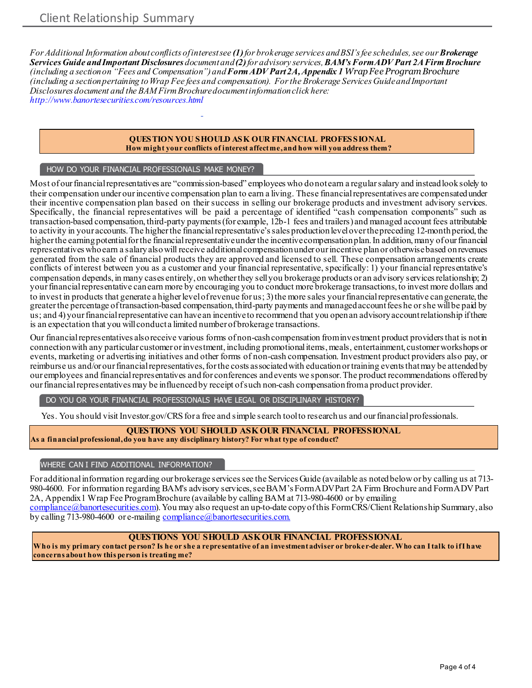*For Additional Information about conflicts of interest see (1)for brokerage services and BSI's fee schedules, see our Brokerage Services Guide and Important Disclosures document and (2)for advisory services, BAM's Form ADV Part 2A Firm Brochure (including a section on "Fees and Compensation") and Form ADV Part 2A, Appendix 1 Wrap Fee Program Brochure (including a section pertaining to Wrap Fee fees and compensation). For the Brokerage Services Guide and Important Disclosures document and the BAM Firm Brochure document information click here: <http://www.banortesecurities.com/resources.html>*

#### **QUESTION YOU SHOULD ASK OUR FINANCIAL PROFESSIONAL How might your conflicts of interest affect me, and how will you address them?**

### HOW DO YOUR FINANCIAL PROFESSIONALS MAKE MONEY?

Most of ourfinancialrepresentatives are "commission-based" employees who donotearn a regularsalary and insteadlooksolely to their compensation under our incentive compensation plan to earn a living. These financial representatives are compensated under their incentive compensation plan based on their success in selling our brokerage products and investment advisory services. Specifically, the financial representatives will be paid a percentage of identified "cash compensation components" such as transaction-based compensation, third-party payments (for example, 12b-1 fees and trailers) and managed account fees attributable to activity in your accounts.The higherthe financialrepresentative'ssales productionleveloverthepreceding 12-monthperiod,the higher the earning potential for the financial representative under the incentive compensation plan. In addition, many of our financial representatives whoearn a salaryalsowill receive additionalcompensationunder ourincentive planor otherwisebased onrevenues generated from the sale of financial products they are approved and licensed to sell. These compensation arrangements create conflicts of interest between you as a customer and your financial representative, specifically: 1) your financial representative's compensation depends, in many cases entirely, on whether they sell you brokerage products or an advisory services relationship; 2) your financial representative can earn more by encouraging you to conduct more brokerage transactions, to invest more dollars and to invest in products that generate a higher level of revenue for us; 3) the more sales your financial representative can generate, the greaterthe percentage oftransaction-based compensation,third-party payments and managedaccountfees he orshe will be paid by us; and 4) your financial representative can have an incentive to recommend that you open an advisory account relationship ifthere is an expectation that you will conduct a limited number of brokerage transactions.

Our financial representatives also receive various forms of non-cash compensation from investment product providers that is not in connection with any particular customer or investment, including promotional items, meals, entertainment, customer workshops or events, marketing or advertising initiatives and other forms of non-cash compensation. Investment product providers also pay, or reimburse us and/or our financial representatives, for the costs associated with education or training events that may be attended by our employees and financial representatives and for conferences and events we sponsor. The product recommendations offered by our financial representatives may be influenced by receipt of such non-cash compensation from a product provider.

DO YOU OR YOUR FINANCIAL PROFESSIONALS HAVE LEGAL OR DISCIPLINARY HISTORY?

Yes. You should visit Investor.gov/CRS for a free and simple search tool to research us and our financial professionals.

### **QUESTIONS YOU SHOULD ASK OUR FINANCIAL PROFESSIONAL As a financial professional, do you have any disciplinary history? For what type of conduct?**

### WHERE CAN I FIND ADDITIONAL INFORMATION?

For additional information regarding our brokerage services see the Services Guide (available as noted below or by calling us at 713- 980-4600. For information regarding BAM's advisory services, see BAM's Form ADV Part 2A Firm Brochure and Form ADV Part 2A, Appendix 1 Wrap Fee Program Brochure (available by calling BAM at 713-980-4600 or by emailing [compliance@banortesecurities.com](mailto:compliance@banortesecurities.com)). You may also request an up-to-date copy of this Form CRS/Client Relationship Summary, also by calling 713-980-4600 or e-mailin[g compliance@banortesecurities.com.](mailto:compliance@banortesecurities.com)

### **QUESTIONS YOU SHOULD ASK OUR FINANCIAL PROFESSIONAL**

**Who is my primary contact person? Is he or she a representative of an investment adviser or broker-dealer. Who can I talk to if I have concerns about how this person is treating me?**